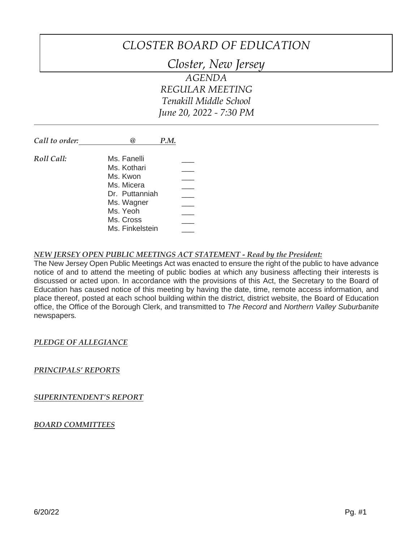# *CLOSTER BOARD OF EDUCATION*

*Closter, New Jersey*

*AGENDA REGULAR MEETING Tenakill Middle School June 20, 2022 - 7:30 PM*

| Call to order: | P.M.<br>a)      |  |
|----------------|-----------------|--|
| Roll Call:     | Ms. Fanelli     |  |
|                | Ms. Kothari     |  |
|                | Ms. Kwon        |  |
|                | Ms. Micera      |  |
|                | Dr. Puttanniah  |  |
|                | Ms. Wagner      |  |
|                | Ms. Yeoh        |  |
|                | Ms. Cross       |  |
|                | Ms. Finkelstein |  |

### *NEW JERSEY OPEN PUBLIC MEETINGS ACT STATEMENT - Read by the President:*

The New Jersey Open Public Meetings Act was enacted to ensure the right of the public to have advance notice of and to attend the meeting of public bodies at which any business affecting their interests is discussed or acted upon. In accordance with the provisions of this Act, the Secretary to the Board of Education has caused notice of this meeting by having the date, time, remote access information, and place thereof, posted at each school building within the district, district website, the Board of Education office, the Office of the Borough Clerk, and transmitted to *The Record* and *Northern Valley Suburbanite*  newspapers*.*

### *PLEDGE OF ALLEGIANCE*

### *PRINCIPALS' REPORTS*

*SUPERINTENDENT'S REPORT*

### *BOARD COMMITTEES*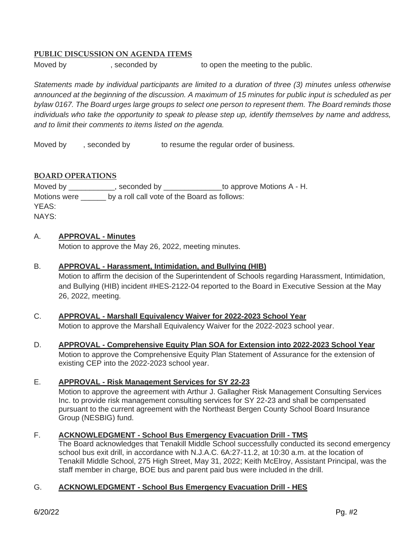### **PUBLIC DISCUSSION ON AGENDA ITEMS**

Moved by example of the seconded by the meeting to the public.

*Statements made by individual participants are limited to a duration of three (3) minutes unless otherwise announced at the beginning of the discussion. A maximum of 15 minutes for public input is scheduled as per bylaw 0167. The Board urges large groups to select one person to represent them. The Board reminds those individuals who take the opportunity to speak to please step up, identify themselves by name and address, and to limit their comments to items listed on the agenda.* 

Moved by , seconded by to resume the regular order of business.

### **BOARD OPERATIONS**

Moved by \_\_\_\_\_\_\_\_\_\_, seconded by \_\_\_\_\_\_\_\_\_\_\_\_\_\_\_to approve Motions A - H. Motions were by a roll call vote of the Board as follows: YEAS: NAYS:

### A. **APPROVAL - Minutes**

Motion to approve the May 26, 2022, meeting minutes.

### B. **APPROVAL - Harassment, Intimidation, and Bullying (HIB)**

Motion to affirm the decision of the Superintendent of Schools regarding Harassment, Intimidation, and Bullying (HIB) incident #HES-2122-04 reported to the Board in Executive Session at the May 26, 2022, meeting.

C. **APPROVAL - Marshall Equivalency Waiver for 2022-2023 School Year**

Motion to approve the Marshall Equivalency Waiver for the 2022-2023 school year.

D. **APPROVAL - Comprehensive Equity Plan SOA for Extension into 2022-2023 School Year** Motion to approve the Comprehensive Equity Plan Statement of Assurance for the extension of existing CEP into the 2022-2023 school year.

# E. **APPROVAL - Risk Management Services for SY 22-23**

Motion to approve the agreement with Arthur J. Gallagher Risk Management Consulting Services Inc. to provide risk management consulting services for SY 22-23 and shall be compensated pursuant to the current agreement with the Northeast Bergen County School Board Insurance Group (NESBIG) fund.

### F. **ACKNOWLEDGMENT - School Bus Emergency Evacuation Drill - TMS**

The Board acknowledges that Tenakill Middle School successfully conducted its second emergency school bus exit drill, in accordance with N.J.A.C. 6A:27-11.2, at 10:30 a.m. at the location of Tenakill Middle School, 275 High Street, May 31, 2022; Keith McElroy, Assistant Principal, was the staff member in charge, BOE bus and parent paid bus were included in the drill.

### G. **ACKNOWLEDGMENT - School Bus Emergency Evacuation Drill - HES**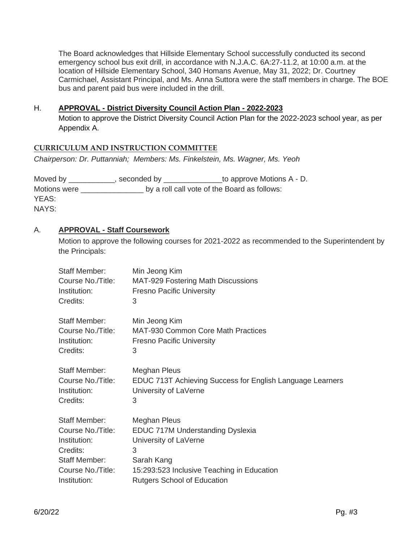The Board acknowledges that Hillside Elementary School successfully conducted its second emergency school bus exit drill, in accordance with N.J.A.C. 6A:27-11.2, at 10:00 a.m. at the location of Hillside Elementary School, 340 Homans Avenue, May 31, 2022; Dr. Courtney Carmichael, Assistant Principal, and Ms. Anna Suttora were the staff members in charge. The BOE bus and parent paid bus were included in the drill.

### H. **APPROVAL - District Diversity Council Action Plan - 2022-2023**

Motion to approve the District Diversity Council Action Plan for the 2022-2023 school year, as per Appendix A.

### **CURRICULUM AND INSTRUCTION COMMITTEE**

*Chairperson: Dr. Puttanniah; Members: Ms. Finkelstein, Ms. Wagner, Ms. Yeoh*

| Moved by     | seconded by | to approve Motions A - D.                    |
|--------------|-------------|----------------------------------------------|
| Motions were |             | by a roll call vote of the Board as follows: |
| YEAS:        |             |                                              |
| NAYS:        |             |                                              |

### A. **APPROVAL - Staff Coursework**

Motion to approve the following courses for 2021-2022 as recommended to the Superintendent by the Principals:

| <b>Staff Member:</b> | Min Jeong Kim                                             |
|----------------------|-----------------------------------------------------------|
| Course No./Title:    | <b>MAT-929 Fostering Math Discussions</b>                 |
| Institution:         | <b>Fresno Pacific University</b>                          |
| Credits:             | 3                                                         |
| <b>Staff Member:</b> | Min Jeong Kim                                             |
| Course No./Title:    | <b>MAT-930 Common Core Math Practices</b>                 |
| Institution:         | <b>Fresno Pacific University</b>                          |
| Credits:             | 3                                                         |
| <b>Staff Member:</b> | <b>Meghan Pleus</b>                                       |
| Course No./Title:    | EDUC 713T Achieving Success for English Language Learners |
| Institution:         | University of LaVerne                                     |
| Credits:             | 3                                                         |
| <b>Staff Member:</b> | Meghan Pleus                                              |
| Course No./Title:    | <b>EDUC 717M Understanding Dyslexia</b>                   |
| Institution:         | University of LaVerne                                     |
| Credits:             | 3                                                         |
| <b>Staff Member:</b> | Sarah Kang                                                |
| Course No./Title:    | 15:293:523 Inclusive Teaching in Education                |
| Institution:         | <b>Rutgers School of Education</b>                        |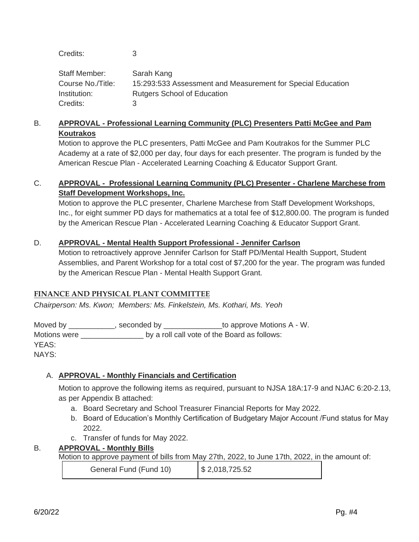Credits: 3

| Staff Member:     | Sarah Kang                                                  |
|-------------------|-------------------------------------------------------------|
| Course No./Title: | 15:293:533 Assessment and Measurement for Special Education |
| Institution:      | <b>Rutgers School of Education</b>                          |
| Credits:          | з                                                           |

# B. **APPROVAL - Professional Learning Community (PLC) Presenters Patti McGee and Pam Koutrakos**

Motion to approve the PLC presenters, Patti McGee and Pam Koutrakos for the Summer PLC Academy at a rate of \$2,000 per day, four days for each presenter. The program is funded by the American Rescue Plan - Accelerated Learning Coaching & Educator Support Grant.

# C. **APPROVAL - Professional Learning Community (PLC) Presenter - Charlene Marchese from Staff Development Workshops, Inc.**

Motion to approve the PLC presenter, Charlene Marchese from Staff Development Workshops, Inc., for eight summer PD days for mathematics at a total fee of \$12,800.00. The program is funded by the American Rescue Plan - Accelerated Learning Coaching & Educator Support Grant.

# D. **APPROVAL - Mental Health Support Professional - Jennifer Carlson**

Motion to retroactively approve Jennifer Carlson for Staff PD/Mental Health Support, Student Assemblies, and Parent Workshop for a total cost of \$7,200 for the year. The program was funded by the American Rescue Plan - Mental Health Support Grant.

# **FINANCE AND PHYSICAL PLANT COMMITTEE**

*Chairperson: Ms. Kwon; Members: Ms. Finkelstein, Ms. Kothari, Ms. Yeoh*

Moved by \_\_\_\_\_\_\_\_\_\_, seconded by \_\_\_\_\_\_\_\_\_\_\_\_\_\_\_\_to approve Motions A - W. Motions were \_\_\_\_\_\_\_\_\_\_\_\_\_\_\_\_\_\_\_\_ by a roll call vote of the Board as follows: YEAS: NAYS:

# A. **APPROVAL - Monthly Financials and Certification**

Motion to approve the following items as required, pursuant to NJSA 18A:17-9 and NJAC 6:20-2.13, as per Appendix B attached:

- a. Board Secretary and School Treasurer Financial Reports for May 2022.
- b. Board of Education's Monthly Certification of Budgetary Major Account /Fund status for May 2022.
- c. Transfer of funds for May 2022.

# B. **APPROVAL - Monthly Bills**

Motion to approve payment of bills from May 27th, 2022, to June 17th, 2022, in the amount of:

| General Fund (Fund 10) | \$2,018,725.52 |
|------------------------|----------------|
|------------------------|----------------|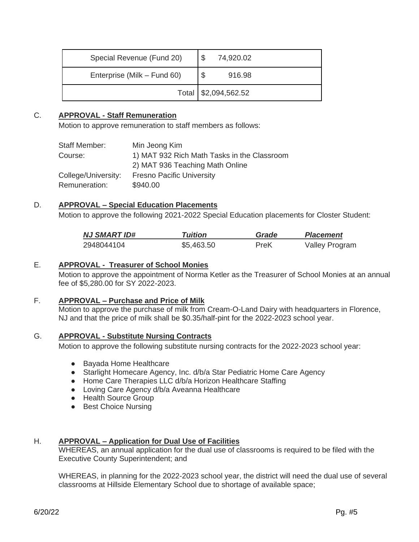| Special Revenue (Fund 20)   | 74,920.02              |
|-----------------------------|------------------------|
| Enterprise (Milk – Fund 60) | \$<br>916.98           |
|                             | Total   \$2,094,562.52 |

### C. **APPROVAL - Staff Remuneration**

Motion to approve remuneration to staff members as follows:

| Staff Member:       | Min Jeong Kim                               |
|---------------------|---------------------------------------------|
| Course:             | 1) MAT 932 Rich Math Tasks in the Classroom |
|                     | 2) MAT 936 Teaching Math Online             |
| College/University: | <b>Fresno Pacific University</b>            |
| Remuneration:       | \$940.00                                    |

### D. **APPROVAL – Special Education Placements**

Motion to approve the following 2021-2022 Special Education placements for Closter Student:

| NJ SMART ID# | <b>Tuition</b> | Grade | <b>Placement</b>      |
|--------------|----------------|-------|-----------------------|
| 2948044104   | \$5,463.50     | PreK  | <b>Valley Program</b> |

### E. **APPROVAL - Treasurer of School Monies**

Motion to approve the appointment of Norma Ketler as the Treasurer of School Monies at an annual fee of \$5,280.00 for SY 2022-2023.

### F. **APPROVAL – Purchase and Price of Milk**

Motion to approve the purchase of milk from Cream-O-Land Dairy with headquarters in Florence, NJ and that the price of milk shall be \$0.35/half-pint for the 2022-2023 school year.

### G. **APPROVAL - Substitute Nursing Contracts**

Motion to approve the following substitute nursing contracts for the 2022-2023 school year:

- Bayada Home Healthcare
- Starlight Homecare Agency, Inc. d/b/a Star Pediatric Home Care Agency
- Home Care Therapies LLC d/b/a Horizon Healthcare Staffing
- Loving Care Agency d/b/a Aveanna Healthcare
- Health Source Group
- Best Choice Nursing

### H. **APPROVAL – Application for Dual Use of Facilities**

WHEREAS, an annual application for the dual use of classrooms is required to be filed with the Executive County Superintendent; and

WHEREAS, in planning for the 2022-2023 school year, the district will need the dual use of several classrooms at Hillside Elementary School due to shortage of available space;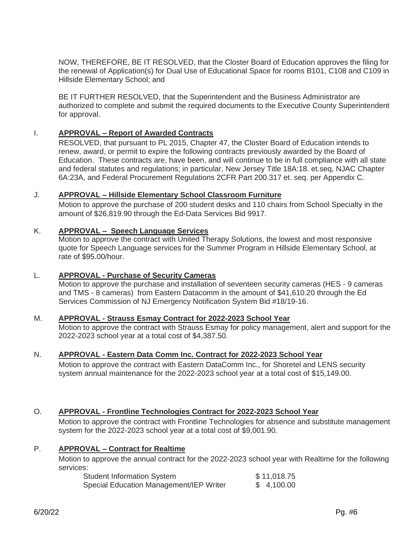NOW, THEREFORE, BE IT RESOLVED, that the Closter Board of Education approves the filing for the renewal of Application(s) for Dual Use of Educational Space for rooms B101, C108 and C109 in Hillside Elementary School; and

BE IT FURTHER RESOLVED, that the Superintendent and the Business Administrator are authorized to complete and submit the required documents to the Executive County Superintendent for approval.

### I. **APPROVAL – Report of Awarded Contracts**

RESOLVED, that pursuant to PL 2015, Chapter 47, the Closter Board of Education intends to renew, award, or permit to expire the following contracts previously awarded by the Board of Education. These contracts are, have been, and will continue to be in full compliance with all state and federal statutes and regulations; in particular, New Jersey Title 18A:18. et.seq, NJAC Chapter 6A:23A, and Federal Procurement Regulations 2CFR Part 200.317 et. seq. per Appendix C.

#### J. **APPROVAL – Hillside Elementary School Classroom Furniture**

Motion to approve the purchase of 200 student desks and 110 chairs from School Specialty in the amount of \$26,819.90 through the Ed-Data Services Bid 9917.

### K. **APPROVAL – Speech Language Services**

Motion to approve the contract with United Therapy Solutions, the lowest and most responsive quote for Speech Language services for the Summer Program in Hillside Elementary School, at rate of \$95.00/hour.

#### L. **APPROVAL - Purchase of Security Cameras**

Motion to approve the purchase and installation of seventeen security cameras (HES - 9 cameras and TMS - 8 cameras) from Eastern Datacomm in the amount of \$41,610.20 through the Ed Services Commission of NJ Emergency Notification System Bid #18/19-16.

#### M. **APPROVAL - Strauss Esmay Contract for 2022-2023 School Year**

Motion to approve the contract with Strauss Esmay for policy management, alert and support for the 2022-2023 school year at a total cost of \$4,387.50.

#### N. **APPROVAL - Eastern Data Comm Inc. Contract for 2022-2023 School Year**

Motion to approve the contract with Eastern DataComm Inc., for Shoretel and LENS security system annual maintenance for the 2022-2023 school year at a total cost of \$15,149.00.

#### O. **APPROVAL - Frontline Technologies Contract for 2022-2023 School Year**

Motion to approve the contract with Frontline Technologies for absence and substitute management system for the 2022-2023 school year at a total cost of \$9,001.90.

### P. **APPROVAL – Contract for Realtime**

Motion to approve the annual contract for the 2022-2023 school year with Realtime for the following services:

| <b>Student Information System</b>       | \$11,018.75 |
|-----------------------------------------|-------------|
| Special Education Management/IEP Writer | \$4,100.00  |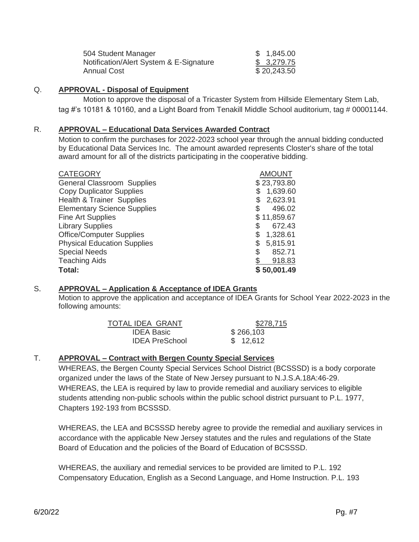| 504 Student Manager                     | \$1,845.00  |
|-----------------------------------------|-------------|
| Notification/Alert System & E-Signature | \$3,279.75  |
| Annual Cost                             | \$20,243.50 |

### Q. **APPROVAL - Disposal of Equipment**

Motion to approve the disposal of a Tricaster System from Hillside Elementary Stem Lab, tag #'s 10181 & 10160, and a Light Board from Tenakill Middle School auditorium, tag # 00001144.

### R. **APPROVAL – Educational Data Services Awarded Contract**

Motion to confirm the purchases for 2022-2023 school year through the annual bidding conducted by Educational Data Services Inc. The amount awarded represents Closter's share of the total award amount for all of the districts participating in the cooperative bidding.

| Total:                               | \$50,001.49   |
|--------------------------------------|---------------|
| <b>Teaching Aids</b>                 | 918.83        |
| <b>Special Needs</b>                 | \$<br>852.71  |
| <b>Physical Education Supplies</b>   | 5,815.91      |
| <b>Office/Computer Supplies</b>      | 1,328.61      |
| <b>Library Supplies</b>              | 672.43<br>S   |
| Fine Art Supplies                    | \$11,859.67   |
| <b>Elementary Science Supplies</b>   | \$<br>496.02  |
| <b>Health &amp; Trainer Supplies</b> | 2,623.91      |
| <b>Copy Duplicator Supplies</b>      | 1,639.60      |
| <b>General Classroom Supplies</b>    | \$23,793.80   |
| <b>CATEGORY</b>                      | <b>AMOUNT</b> |

### S. **APPROVAL – Application & Acceptance of IDEA Grants**

Motion to approve the application and acceptance of IDEA Grants for School Year 2022-2023 in the following amounts:

| TOTAL IDEA GRANT      | \$278,715 |
|-----------------------|-----------|
| <b>IDEA Basic</b>     | \$266,103 |
| <b>IDEA PreSchool</b> | \$12.612  |

### T. **APPROVAL – Contract with Bergen County Special Services**

WHEREAS, the Bergen County Special Services School District (BCSSSD) is a body corporate organized under the laws of the State of New Jersey pursuant to N.J.S.A.18A:46-29. WHEREAS, the LEA is required by law to provide remedial and auxiliary services to eligible students attending non-public schools within the public school district pursuant to P.L. 1977, Chapters 192-193 from BCSSSD.

WHEREAS, the LEA and BCSSSD hereby agree to provide the remedial and auxiliary services in accordance with the applicable New Jersey statutes and the rules and regulations of the State Board of Education and the policies of the Board of Education of BCSSSD.

WHEREAS, the auxiliary and remedial services to be provided are limited to P.L. 192 Compensatory Education, English as a Second Language, and Home Instruction. P.L. 193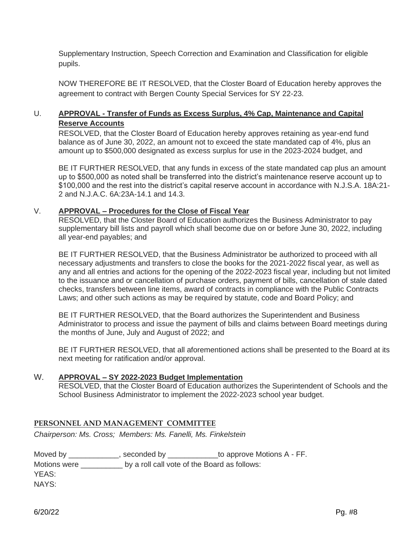Supplementary Instruction, Speech Correction and Examination and Classification for eligible pupils.

NOW THEREFORE BE IT RESOLVED, that the Closter Board of Education hereby approves the agreement to contract with Bergen County Special Services for SY 22-23.

# U. **APPROVAL - Transfer of Funds as Excess Surplus, 4% Cap, Maintenance and Capital Reserve Accounts**

RESOLVED, that the Closter Board of Education hereby approves retaining as year-end fund balance as of June 30, 2022, an amount not to exceed the state mandated cap of 4%, plus an amount up to \$500,000 designated as excess surplus for use in the 2023-2024 budget, and

BE IT FURTHER RESOLVED, that any funds in excess of the state mandated cap plus an amount up to \$500,000 as noted shall be transferred into the district's maintenance reserve account up to \$100,000 and the rest into the district's capital reserve account in accordance with N.J.S.A. 18A:21- 2 and N.J.A.C. 6A:23A-14.1 and 14.3.

### V. **APPROVAL – Procedures for the Close of Fiscal Year**

RESOLVED, that the Closter Board of Education authorizes the Business Administrator to pay supplementary bill lists and payroll which shall become due on or before June 30, 2022, including all year-end payables; and

BE IT FURTHER RESOLVED, that the Business Administrator be authorized to proceed with all necessary adjustments and transfers to close the books for the 2021-2022 fiscal year, as well as any and all entries and actions for the opening of the 2022-2023 fiscal year, including but not limited to the issuance and or cancellation of purchase orders, payment of bills, cancellation of stale dated checks, transfers between line items, award of contracts in compliance with the Public Contracts Laws; and other such actions as may be required by statute, code and Board Policy; and

BE IT FURTHER RESOLVED, that the Board authorizes the Superintendent and Business Administrator to process and issue the payment of bills and claims between Board meetings during the months of June, July and August of 2022; and

BE IT FURTHER RESOLVED, that all aforementioned actions shall be presented to the Board at its next meeting for ratification and/or approval.

#### W. **APPROVAL – SY 2022-2023 Budget Implementation**

RESOLVED, that the Closter Board of Education authorizes the Superintendent of Schools and the School Business Administrator to implement the 2022-2023 school year budget.

### **PERSONNEL AND MANAGEMENT COMMITTEE**

*Chairperson: Ms. Cross; Members: Ms. Fanelli, Ms. Finkelstein*

Moved by \_\_\_\_\_\_\_\_\_\_\_\_, seconded by \_\_\_\_\_\_\_\_\_\_\_\_\_to approve Motions A - FF. Motions were \_\_\_\_\_\_\_\_\_\_ by a roll call vote of the Board as follows: YEAS: NAYS: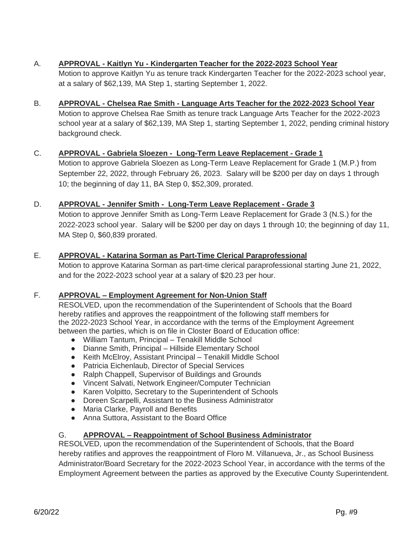# A. **APPROVAL - Kaitlyn Yu - Kindergarten Teacher for the 2022-2023 School Year**

Motion to approve Kaitlyn Yu as tenure track Kindergarten Teacher for the 2022-2023 school year, at a salary of \$62,139, MA Step 1, starting September 1, 2022.

### B. **APPROVAL - Chelsea Rae Smith - Language Arts Teacher for the 2022-2023 School Year**

Motion to approve Chelsea Rae Smith as tenure track Language Arts Teacher for the 2022-2023 school year at a salary of \$62,139, MA Step 1, starting September 1, 2022, pending criminal history background check.

### C. **APPROVAL - Gabriela Sloezen - Long-Term Leave Replacement - Grade 1**

Motion to approve Gabriela Sloezen as Long-Term Leave Replacement for Grade 1 (M.P.) from September 22, 2022, through February 26, 2023. Salary will be \$200 per day on days 1 through 10; the beginning of day 11, BA Step 0, \$52,309, prorated.

### D. **APPROVAL - Jennifer Smith - Long-Term Leave Replacement - Grade 3**

Motion to approve Jennifer Smith as Long-Term Leave Replacement for Grade 3 (N.S.) for the 2022-2023 school year. Salary will be \$200 per day on days 1 through 10; the beginning of day 11, MA Step 0, \$60,839 prorated.

### E. **APPROVAL - Katarina Sorman as Part-Time Clerical Paraprofessional**

Motion to approve Katarina Sorman as part-time clerical paraprofessional starting June 21, 2022, and for the 2022-2023 school year at a salary of \$20.23 per hour.

# F. **APPROVAL – Employment Agreement for Non-Union Staff**

RESOLVED, upon the recommendation of the Superintendent of Schools that the Board hereby ratifies and approves the reappointment of the following staff members for the 2022-2023 School Year, in accordance with the terms of the Employment Agreement between the parties, which is on file in Closter Board of Education office:

- William Tantum, Principal Tenakill Middle School
- Dianne Smith, Principal Hillside Elementary School
- Keith McElroy, Assistant Principal Tenakill Middle School
- Patricia Eichenlaub, Director of Special Services
- Ralph Chappell, Supervisor of Buildings and Grounds
- Vincent Salvati, Network Engineer/Computer Technician
- Karen Volpitto, Secretary to the Superintendent of Schools
- Doreen Scarpelli, Assistant to the Business Administrator
- Maria Clarke, Payroll and Benefits
- Anna Suttora, Assistant to the Board Office

### G. **APPROVAL – Reappointment of School Business Administrator**

RESOLVED, upon the recommendation of the Superintendent of Schools, that the Board hereby ratifies and approves the reappointment of Floro M. Villanueva, Jr., as School Business Administrator/Board Secretary for the 2022-2023 School Year, in accordance with the terms of the Employment Agreement between the parties as approved by the Executive County Superintendent.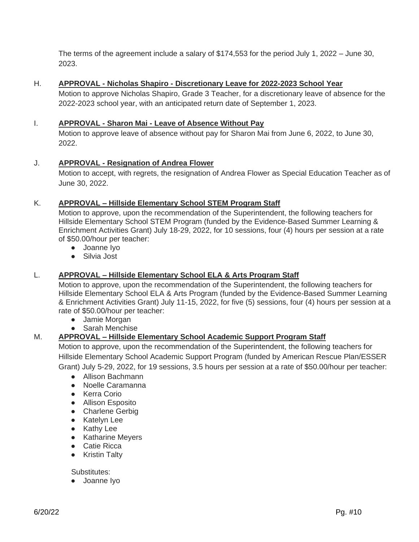The terms of the agreement include a salary of \$174,553 for the period July 1, 2022 – June 30, 2023.

### H. **APPROVAL - Nicholas Shapiro - Discretionary Leave for 2022-2023 School Year**

Motion to approve Nicholas Shapiro, Grade 3 Teacher, for a discretionary leave of absence for the 2022-2023 school year, with an anticipated return date of September 1, 2023.

### I. **APPROVAL - Sharon Mai - Leave of Absence Without Pay**

Motion to approve leave of absence without pay for Sharon Mai from June 6, 2022, to June 30, 2022.

### J. **APPROVAL - Resignation of Andrea Flower**

Motion to accept, with regrets, the resignation of Andrea Flower as Special Education Teacher as of June 30, 2022.

### K. **APPROVAL – Hillside Elementary School STEM Program Staff**

Motion to approve, upon the recommendation of the Superintendent, the following teachers for Hillside Elementary School STEM Program (funded by the Evidence-Based Summer Learning & Enrichment Activities Grant) July 18-29, 2022, for 10 sessions, four (4) hours per session at a rate of \$50.00/hour per teacher:

- Joanne Iyo
- Silvia Jost

### L. **APPROVAL – Hillside Elementary School ELA & Arts Program Staff**

Motion to approve, upon the recommendation of the Superintendent, the following teachers for Hillside Elementary School ELA & Arts Program (funded by the Evidence-Based Summer Learning & Enrichment Activities Grant) July 11-15, 2022, for five (5) sessions, four (4) hours per session at a rate of \$50.00/hour per teacher:

- Jamie Morgan
- Sarah Menchise

### M. **APPROVAL – Hillside Elementary School Academic Support Program Staff**

Motion to approve, upon the recommendation of the Superintendent, the following teachers for Hillside Elementary School Academic Support Program (funded by American Rescue Plan/ESSER Grant) July 5-29, 2022, for 19 sessions, 3.5 hours per session at a rate of \$50.00/hour per teacher:

- Allison Bachmann
- Noelle Caramanna
- Kerra Corio
- Allison Esposito
- Charlene Gerbig
- Katelyn Lee
- Kathy Lee
- Katharine Meyers
- Catie Ricca
- Kristin Talty

Substitutes:

● Joanne Iyo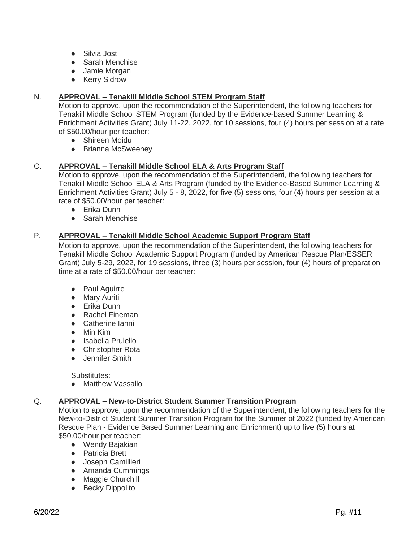- Silvia Jost
- Sarah Menchise
- Jamie Morgan
- Kerry Sidrow

### N. **APPROVAL – Tenakill Middle School STEM Program Staff**

Motion to approve, upon the recommendation of the Superintendent, the following teachers for Tenakill Middle School STEM Program (funded by the Evidence-based Summer Learning & Enrichment Activities Grant) July 11-22, 2022, for 10 sessions, four (4) hours per session at a rate of \$50.00/hour per teacher:

- **•** Shireen Moidu
- Brianna McSweenev

### O. **APPROVAL – Tenakill Middle School ELA & Arts Program Staff**

Motion to approve, upon the recommendation of the Superintendent, the following teachers for Tenakill Middle School ELA & Arts Program (funded by the Evidence-Based Summer Learning & Enrichment Activities Grant) July 5 - 8, 2022, for five (5) sessions, four (4) hours per session at a rate of \$50.00/hour per teacher:

- Erika Dunn
- Sarah Menchise

### P. **APPROVAL – Tenakill Middle School Academic Support Program Staff**

Motion to approve, upon the recommendation of the Superintendent, the following teachers for Tenakill Middle School Academic Support Program (funded by American Rescue Plan/ESSER Grant) July 5-29, 2022, for 19 sessions, three (3) hours per session, four (4) hours of preparation time at a rate of \$50.00/hour per teacher:

- Paul Aguirre
- Mary Auriti
- Erika Dunn
- Rachel Fineman
- Catherine Ianni
- Min Kim
- Isabella Prulello
- Christopher Rota
- Jennifer Smith

Substitutes:

● Matthew Vassallo

### Q. **APPROVAL – New-to-District Student Summer Transition Program**

Motion to approve, upon the recommendation of the Superintendent, the following teachers for the New-to-District Student Summer Transition Program for the Summer of 2022 (funded by American Rescue Plan - Evidence Based Summer Learning and Enrichment) up to five (5) hours at \$50.00/hour per teacher:

- Wendy Bajakian
- Patricia Brett
- Joseph Camillieri
- Amanda Cummings
- Maggie Churchill
- Becky Dippolito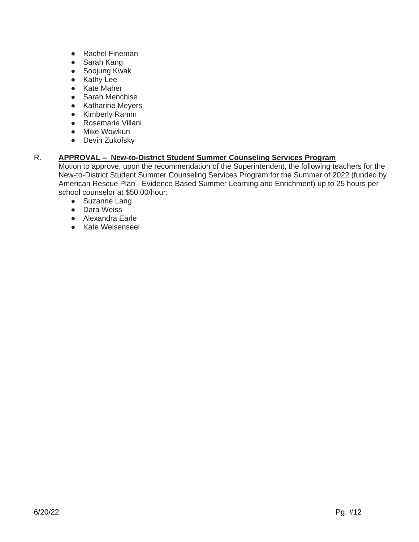- Rachel Fineman
- Sarah Kang
- Soojung Kwak
- Kathy Lee
- Kate Maher
- Sarah Menchise
- Katharine Meyers
- Kimberly Ramm
- Rosemarie Villani
- Mike Wowkun
- Devin Zukofsky

### R. **APPROVAL – New-to-District Student Summer Counseling Services Program**

Motion to approve, upon the recommendation of the Superintendent, the following teachers for the New-to-District Student Summer Counseling Services Program for the Summer of 2022 (funded by American Rescue Plan - Evidence Based Summer Learning and Enrichment) up to 25 hours per school counselor at \$50.00/hour:

- Suzanne Lang
- Dara Weiss
- Alexandra Earle
- Kate Weisenseel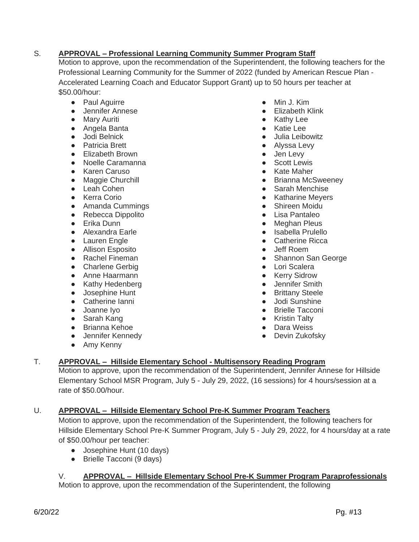# S. **APPROVAL – Professional Learning Community Summer Program Staff**

Motion to approve, upon the recommendation of the Superintendent, the following teachers for the Professional Learning Community for the Summer of 2022 (funded by American Rescue Plan - Accelerated Learning Coach and Educator Support Grant) up to 50 hours per teacher at \$50.00/hour:

- Paul Aguirre
- Jennifer Annese
- Mary Auriti
- Angela Banta
- Jodi Belnick
- Patricia Brett
- Elizabeth Brown
- Noelle Caramanna
- Karen Caruso
- Maggie Churchill
- Leah Cohen
- Kerra Corio
- Amanda Cummings
- Rebecca Dippolito
- Erika Dunn
- Alexandra Earle
- Lauren Engle
- Allison Esposito
- Rachel Fineman
- Charlene Gerbig
- Anne Haarmann
- Kathy Hedenberg
- Josephine Hunt
- Catherine Ianni
- Joanne Ivo
- Sarah Kang
- Brianna Kehoe
- **•** Jennifer Kennedy
- Amy Kenny
- Min J. Kim
- Elizabeth Klink
- Kathy Lee
- Katie Lee
- Julia Leibowitz
- Alyssa Levy
- Jen Levy
- Scott Lewis
- Kate Maher
- Brianna McSweeney
- Sarah Menchise
- Katharine Meyers
- Shireen Moidu
- Lisa Pantaleo
- Meghan Pleus
- Isabella Prulello
- Catherine Ricca
- Jeff Roem
- Shannon San George
- Lori Scalera
- Kerry Sidrow
- Jennifer Smith
- Brittany Steele
- Jodi Sunshine
- Brielle Tacconi
- Kristin Talty
- Dara Weiss
- Devin Zukofsky

### T. **APPROVAL – Hillside Elementary School - Multisensory Reading Program**

Motion to approve, upon the recommendation of the Superintendent, Jennifer Annese for Hillside Elementary School MSR Program, July 5 - July 29, 2022, (16 sessions) for 4 hours/session at a rate of \$50.00/hour.

# U. **APPROVAL – Hillside Elementary School Pre-K Summer Program Teachers**

Motion to approve, upon the recommendation of the Superintendent, the following teachers for Hillside Elementary School Pre-K Summer Program, July 5 - July 29, 2022, for 4 hours/day at a rate of \$50.00/hour per teacher:

- Josephine Hunt (10 days)
- Brielle Tacconi (9 days)

# V. **APPROVAL – Hillside Elementary School Pre-K Summer Program Paraprofessionals**

Motion to approve, upon the recommendation of the Superintendent, the following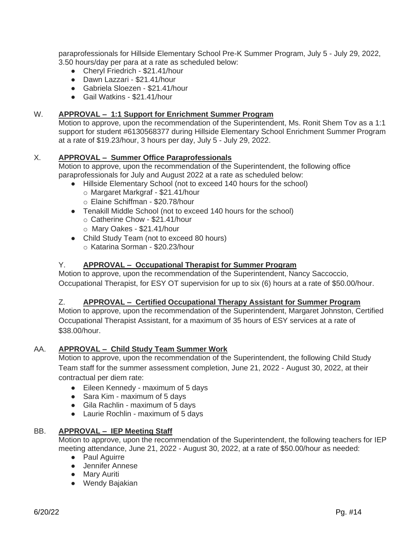paraprofessionals for Hillside Elementary School Pre-K Summer Program, July 5 - July 29, 2022, 3.50 hours/day per para at a rate as scheduled below:

- Cheryl Friedrich \$21.41/hour
- Dawn Lazzari \$21.41/hour
- Gabriela Sloezen \$21.41/hour
- Gail Watkins \$21.41/hour

### W. **APPROVAL – 1:1 Support for Enrichment Summer Program**

Motion to approve, upon the recommendation of the Superintendent, Ms. Ronit Shem Tov as a 1:1 support for student #6130568377 during Hillside Elementary School Enrichment Summer Program at a rate of \$19.23/hour, 3 hours per day, July 5 - July 29, 2022.

### X. **APPROVAL – Summer Office Paraprofessionals**

Motion to approve, upon the recommendation of the Superintendent, the following office paraprofessionals for July and August 2022 at a rate as scheduled below:

- Hillside Elementary School (not to exceed 140 hours for the school)
	- o Margaret Markgraf \$21.41/hour
	- o Elaine Schiffman \$20.78/hour
- Tenakill Middle School (not to exceed 140 hours for the school) o Catherine Chow - \$21.41/hour
	- o Mary Oakes \$21.41/hour
- Child Study Team (not to exceed 80 hours) o Katarina Sorman - \$20.23/hour

### Y. **APPROVAL – Occupational Therapist for Summer Program**

Motion to approve, upon the recommendation of the Superintendent, Nancy Saccoccio, Occupational Therapist, for ESY OT supervision for up to six (6) hours at a rate of \$50.00/hour.

# Z. **APPROVAL – Certified Occupational Therapy Assistant for Summer Program**

Motion to approve, upon the recommendation of the Superintendent, Margaret Johnston, Certified Occupational Therapist Assistant, for a maximum of 35 hours of ESY services at a rate of \$38.00/hour.

### AA. **APPROVAL – Child Study Team Summer Work**

Motion to approve, upon the recommendation of the Superintendent, the following Child Study Team staff for the summer assessment completion, June 21, 2022 - August 30, 2022, at their contractual per diem rate:

- Eileen Kennedy maximum of 5 days
- Sara Kim maximum of 5 days
- Gila Rachlin maximum of 5 days
- Laurie Rochlin maximum of 5 days

### BB. **APPROVAL – IEP Meeting Staff**

Motion to approve, upon the recommendation of the Superintendent, the following teachers for IEP meeting attendance, June 21, 2022 - August 30, 2022, at a rate of \$50.00/hour as needed:

- Paul Aguirre
- Jennifer Annese
- Mary Auriti
- Wendy Bajakian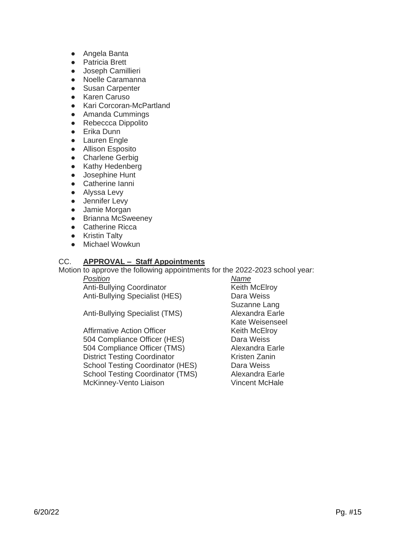- Angela Banta
- Patricia Brett
- Joseph Camillieri
- Noelle Caramanna
- Susan Carpenter
- Karen Caruso
- Kari Corcoran-McPartland
- Amanda Cummings
- Rebeccca Dippolito
- Erika Dunn
- Lauren Engle
- Allison Esposito
- Charlene Gerbig
- Kathy Hedenberg
- Josephine Hunt
- Catherine Ianni
- Alyssa Levy
- **•** Jennifer Levy
- Jamie Morgan
- Brianna McSweeney
- Catherine Ricca
- Kristin Talty
- Michael Wowkun

#### CC. **APPROVAL – Staff Appointments**

Motion to approve the following appointments for the 2022-2023 school year:

Position<br>
Anti-Bullying Coordinator<br>
Anti-Bullying Coordinator<br>
Neith McElroy Anti-Bullying Coordinator Anti-Bullying Specialist (HES) Dara Weiss

Anti-Bullying Specialist (TMS) Alexandra Earle

Affirmative Action Officer **Keith McElroy**<br>1994 Compliance Officer (HES) **Action** Dara Weiss 504 Compliance Officer (HES) 504 Compliance Officer (TMS) Alexandra Earle District Testing Coordinator **Kristen Zanin** School Testing Coordinator (HES) Dara Weiss School Testing Coordinator (TMS) Alexandra Earle McKinney-Vento Liaison Vincent McHale

Suzanne Lang Kate Weisenseel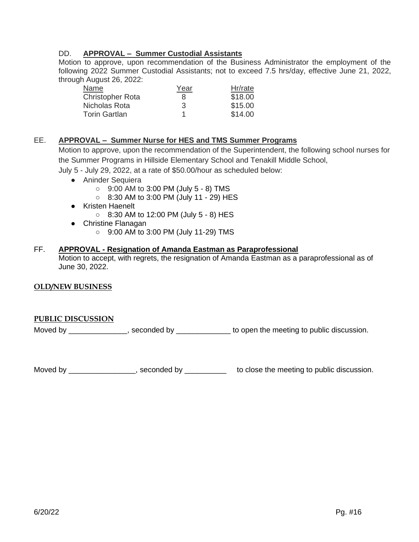### DD. **APPROVAL – Summer Custodial Assistants**

Motion to approve, upon recommendation of the Business Administrator the employment of the following 2022 Summer Custodial Assistants; not to exceed 7.5 hrs/day, effective June 21, 2022, through August 26, 2022:

| Name                    | Year | Hr/rate |
|-------------------------|------|---------|
| <b>Christopher Rota</b> | 8    | \$18.00 |
| Nicholas Rota           | 3    | \$15.00 |
| <b>Torin Gartlan</b>    |      | \$14.00 |

### EE. **APPROVAL – Summer Nurse for HES and TMS Summer Programs**

Motion to approve, upon the recommendation of the Superintendent, the following school nurses for the Summer Programs in Hillside Elementary School and Tenakill Middle School,

July 5 - July 29, 2022, at a rate of \$50.00/hour as scheduled below:

- Aninder Sequiera
	- 9:00 AM to 3:00 PM (July 5 8) TMS
	- 8:30 AM to 3:00 PM (July 11 29) HES
- Kristen Haenelt
	- 8:30 AM to 12:00 PM (July 5 8) HES
- Christine Flanagan
	- 9:00 AM to 3:00 PM (July 11-29) TMS

#### FF. **APPROVAL - Resignation of Amanda Eastman as Paraprofessional**

Motion to accept, with regrets, the resignation of Amanda Eastman as a paraprofessional as of June 30, 2022.

#### **OLD/NEW BUSINESS**

#### **PUBLIC DISCUSSION**

Moved by \_\_\_\_\_\_\_\_\_\_\_\_\_, seconded by \_\_\_\_\_\_\_\_\_\_\_\_\_ to open the meeting to public discussion.

Moved by \_\_\_\_\_\_\_\_\_\_\_\_\_\_\_, seconded by \_\_\_\_\_\_\_\_\_\_\_ to close the meeting to public discussion.